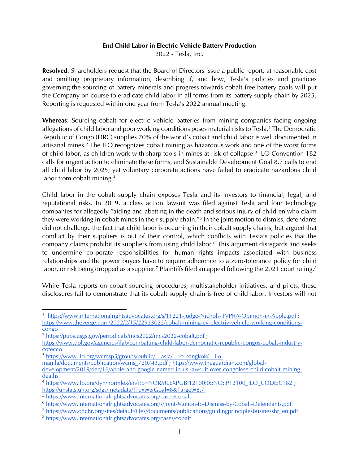## **End Child Labor in Electric Vehicle Battery Production**

2022 - Tesla, Inc.

**Resolved**: Shareholders request that the Board of Directors issue a public report, at reasonable cost and omitting proprietary information, describing if, and how, Tesla's policies and practices governing the sourcing of battery minerals and progress towards cobalt-free battery goals will put the Company on course to eradicate child labor in all forms from its battery supply chain by 2025. Reporting is requested within one year from Tesla's 2022 annual meeting.

**Whereas**: Sourcing cobalt for electric vehicle batteries from mining companies facing ongoing allegations of child labor and poor working conditions poses material risks to Tesla.<sup>1</sup> The Democratic Republic of Congo (DRC) supplies 70% of the world's cobalt and child labor is well documented in artisanal mines.<sup>2</sup> The ILO recognizes cobalt mining as hazardous work and one of the worst forms of child labor, as children work with sharp tools in mines at risk of collapse. 3 ILO Convention 182 calls for urgent action to eliminate these forms, and Sustainable Development Goal 8.7 calls to end all child labor by 2025; yet voluntary corporate actions have failed to eradicate hazardous child labor from cobalt mining. 4

Child labor in the cobalt supply chain exposes Tesla and its investors to financial, legal, and reputational risks. In 2019, a class action lawsuit was filed against Tesla and four technology companies for allegedly "aiding and abetting in the death and serious injury of children who claim they were working in cobalt mines in their supply chain."<sup>5</sup> In the joint motion to dismiss, defendants did not challenge the fact that child labor is occurring in their cobalt supply chains, but argued that conduct by their suppliers is out of their control, which conflicts with Tesla's policies that the company claims prohibit its suppliers from using child labor.<sup>6</sup> This argument disregards and seeks to undermine corporate responsibilities for human rights impacts associated with business relationships and the power buyers have to require adherence to a zero-tolerance policy for child labor, or risk being dropped as a supplier.<sup>7</sup> Plaintiffs filed an appeal following the 2021 court ruling.<sup>8</sup>

While Tesla reports on cobalt sourcing procedures, multistakeholder initiatives, and pilots, these disclosures fail to demonstrate that its cobalt supply chain is free of child labor. Investors will not

<sup>3</sup> [https://www.ilo.org/wcmsp5/groups/public/---asia/---ro-bangkok/---ilo-](https://www.ilo.org/wcmsp5/groups/public/---asia/---ro-bangkok/---ilo-manila/documents/publication/wcms_720743.pdf)

[manila/documents/publication/wcms\\_720743.pdf](https://www.ilo.org/wcmsp5/groups/public/---asia/---ro-bangkok/---ilo-manila/documents/publication/wcms_720743.pdf) ; [https://www.theguardian.com/global-](https://www.theguardian.com/global-development/2019/dec/16/apple-and-google-named-in-us-lawsuit-over-congolese-child-cobalt-mining-deaths)

<sup>7</sup> [https://www.ohchr.org/sites/default/files/documents/publications/guidingprinciplesbusinesshr\\_en.pdf](https://www.ohchr.org/sites/default/files/documents/publications/guidingprinciplesbusinesshr_en.pdf)

<sup>&</sup>lt;sup>1</sup> <https://www.internationalrightsadvocates.org/s/11221-Judge-Nichols-TVPRA-Opinion-in-Apple.pdf>; [https://www.theverge.com/2022/2/15/22933022/cobalt-mining-ev-electriv-vehicle-working-conditions](https://www.theverge.com/2022/2/15/22933022/cobalt-mining-ev-electriv-vehicle-working-conditions-congo)[congo](https://www.theverge.com/2022/2/15/22933022/cobalt-mining-ev-electriv-vehicle-working-conditions-congo)

<sup>2</sup> <https://pubs.usgs.gov/periodicals/mcs2022/mcs2022-cobalt.pdf> ;

[https://www.dol.gov/agencies/ilab/combatting-child-labor-democratic-republic-congos-cobalt-industry](https://www.dol.gov/agencies/ilab/combatting-child-labor-democratic-republic-congos-cobalt-industry-cotecco)[cotecco](https://www.dol.gov/agencies/ilab/combatting-child-labor-democratic-republic-congos-cobalt-industry-cotecco)

[development/2019/dec/16/apple-and-google-named-in-us-lawsuit-over-congolese-child-cobalt-mining](https://www.theguardian.com/global-development/2019/dec/16/apple-and-google-named-in-us-lawsuit-over-congolese-child-cobalt-mining-deaths)[deaths](https://www.theguardian.com/global-development/2019/dec/16/apple-and-google-named-in-us-lawsuit-over-congolese-child-cobalt-mining-deaths)

<sup>4</sup> [https://www.ilo.org/dyn/normlex/en/f?p=NORMLEXPUB:12100:0::NO::P12100\\_ILO\\_CODE:C182](https://www.ilo.org/dyn/normlex/en/f?p=NORMLEXPUB:12100:0::NO::P12100_ILO_CODE:C182) ; <https://unstats.un.org/sdgs/metadata/?Text=&Goal=8&Target=8.7>

<sup>5</sup> <https://www.internationalrightsadvocates.org/cases/cobalt>

<sup>6</sup> <https://www.internationalrightsadvocates.org/s/Joint-Motion-to-Dismiss-by-Cobalt-Defendants.pdf>

<sup>8</sup> <https://www.internationalrightsadvocates.org/cases/cobalt>